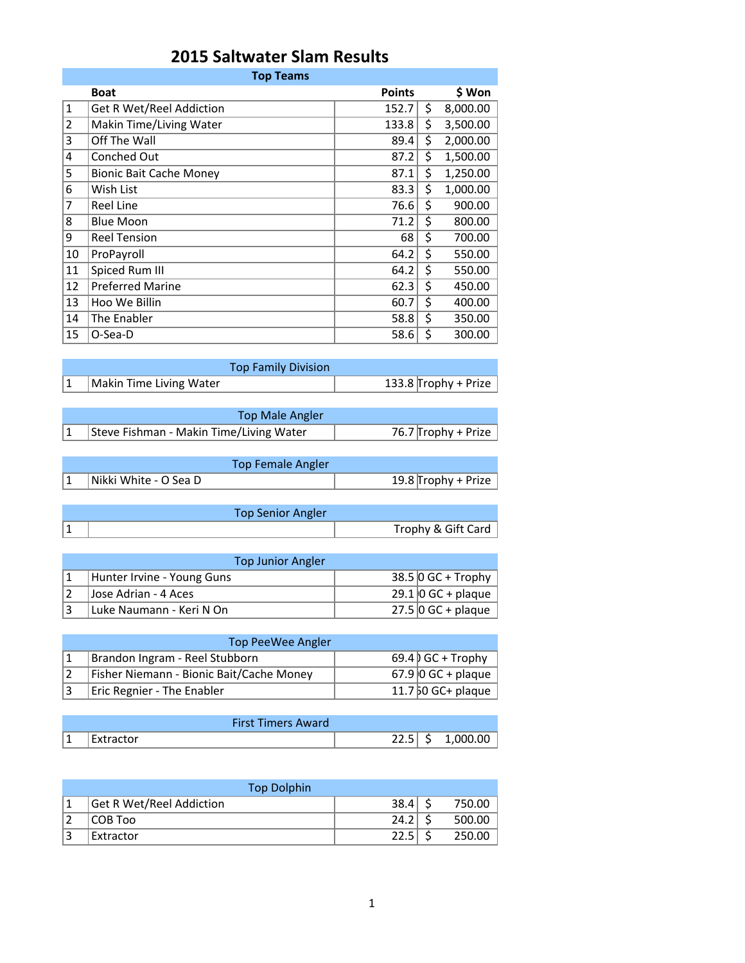## **2015 Saltwater Slam Results**

|                | <b>Top Teams</b>                |               |                |
|----------------|---------------------------------|---------------|----------------|
|                | <b>Boat</b>                     | <b>Points</b> | \$ Won         |
| 1              | <b>Get R Wet/Reel Addiction</b> | 152.7         | \$<br>8,000.00 |
| $\overline{2}$ | Makin Time/Living Water         | 133.8         | \$<br>3,500.00 |
| 3              | Off The Wall                    | 89.4          | \$<br>2,000.00 |
| 4              | Conched Out                     | 87.2          | \$<br>1,500.00 |
| 5              | <b>Bionic Bait Cache Money</b>  | 87.1          | \$<br>1,250.00 |
| 6              | Wish List                       | 83.3          | \$<br>1,000.00 |
| 7              | <b>Reel Line</b>                | 76.6          | \$<br>900.00   |
| 8              | <b>Blue Moon</b>                | 71.2          | \$<br>800.00   |
| 9              | <b>Reel Tension</b>             | 68            | \$<br>700.00   |
| 10             | ProPayroll                      | 64.2          | \$<br>550.00   |
| 11             | Spiced Rum III                  | 64.2          | \$<br>550.00   |
| 12             | <b>Preferred Marine</b>         | 62.3          | \$<br>450.00   |
| 13             | Hoo We Billin                   | 60.7          | \$<br>400.00   |
| 14             | The Enabler                     | 58.8          | \$<br>350.00   |
| 15             | O-Sea-D                         | 58.6          | \$<br>300.00   |

| <b>Top Family Division</b> |                      |
|----------------------------|----------------------|
| Makin Time Living Water    | 133.8 Trophy + Prize |

| Top Male Angler                         |                     |
|-----------------------------------------|---------------------|
| Steve Fishman - Makin Time/Living Water | 76.7 Trophy + Prize |

| Top Female Angler     |                     |
|-----------------------|---------------------|
| Nikki White - O Sea D | 19.8 Trophy + Prize |

| <b>Top Senior Angler</b> |                    |
|--------------------------|--------------------|
|                          | Trophy & Gift Card |

| <b>Top Junior Angler</b>   |  |                            |  |  |  |  |
|----------------------------|--|----------------------------|--|--|--|--|
| Hunter Irvine - Young Guns |  | $38.5$ O GC + Trophy       |  |  |  |  |
| Jose Adrian - 4 Aces       |  | $29.1$   0 GC + plaque     |  |  |  |  |
| Luke Naumann - Keri N On   |  | 27.5 $\vert$ 0 GC + plaque |  |  |  |  |

| Top PeeWee Angler                        |  |                      |  |  |  |
|------------------------------------------|--|----------------------|--|--|--|
| Brandon Ingram - Reel Stubborn           |  | $69.4$ GC + Trophy   |  |  |  |
| Fisher Niemann - Bionic Bait/Cache Money |  | $67.9$ 0 GC + plaque |  |  |  |
| <b>Eric Regnier - The Enabler</b>        |  | $11.750$ GC+ plaque  |  |  |  |

| <b>First Timers Award</b> |      |          |
|---------------------------|------|----------|
| Extractor                 | 22.3 | 1,000.00 |

| <b>Top Dolphin</b>              |      |        |
|---------------------------------|------|--------|
| <b>Get R Wet/Reel Addiction</b> | 38.4 | 750.00 |
| COB Too                         | 24.2 | 500.00 |
| Extractor                       | 22.5 | 250.00 |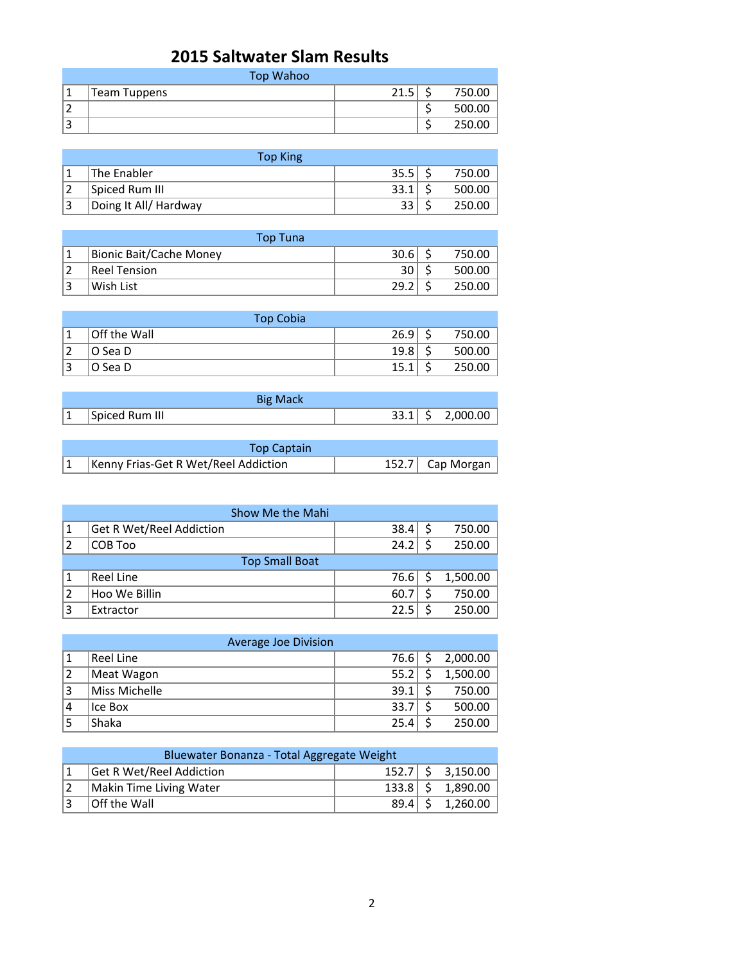## **2015 Saltwater Slam Results**

|    | <b>Top Wahoo</b> |      |        |
|----|------------------|------|--------|
|    | Team Tuppens     | 21.5 | 750.00 |
| ۷  |                  |      | 500.00 |
| 13 |                  |      | 250.00 |

| <b>Top King</b>       |      |        |
|-----------------------|------|--------|
| The Enabler           | 35.5 | 750.00 |
| Spiced Rum III        | 33.1 | 500.00 |
| Doing It All/ Hardway |      | 250.00 |

| <b>Top Tuna</b>         |      |        |
|-------------------------|------|--------|
| Bionic Bait/Cache Money | 30.6 | 750.00 |
| <b>Reel Tension</b>     | 30   | 500.00 |
| Wish List               | 29.2 | 250.00 |

|    | <b>Top Cobia</b> |      |        |
|----|------------------|------|--------|
|    | Off the Wall     | 26.9 | 750.00 |
|    | O Sea D          | 19.8 | 500.00 |
| 13 | O Sea D          | 15.1 | 250.00 |

|         | <b>Big Mack</b> |             |          |
|---------|-----------------|-------------|----------|
| $\perp$ | Spiced Rum III  | $33.1$   \$ | 2,000.00 |

| <b>Top Captain</b>                   |                  |
|--------------------------------------|------------------|
| Kenny Frias-Get R Wet/Reel Addiction | 152.7 Cap Morgan |

|   | Show Me the Mahi                |      |          |
|---|---------------------------------|------|----------|
|   | <b>Get R Wet/Reel Addiction</b> | 38.4 | 750.00   |
|   | COB Too                         | 24.2 | 250.00   |
|   | <b>Top Small Boat</b>           |      |          |
|   | Reel Line                       | 76.6 | 1,500.00 |
|   | Hoo We Billin                   | 60.7 | 750.00   |
| 3 | Extractor                       | 22.5 | 250.00   |

|                | Average Joe Division |      |          |
|----------------|----------------------|------|----------|
|                | Reel Line            | 76.6 | 2,000.00 |
| $\overline{2}$ | Meat Wagon           | 55.2 | 1,500.00 |
| 3              | Miss Michelle        | 39.1 | 750.00   |
| 4              | Ice Box              | 33.7 | 500.00   |
|                | Shaka                | 25.4 | 250.00   |

| Bluewater Bonanza - Total Aggregate Weight |  |  |                      |  |
|--------------------------------------------|--|--|----------------------|--|
| <b>Get R Wet/Reel Addiction</b>            |  |  | $152.7$ \$ 3,150.00  |  |
| Makin Time Living Water                    |  |  | $133.8$ \$ 1,890.00  |  |
| <b>Off the Wall</b>                        |  |  | $89.4$   \$ 1,260.00 |  |